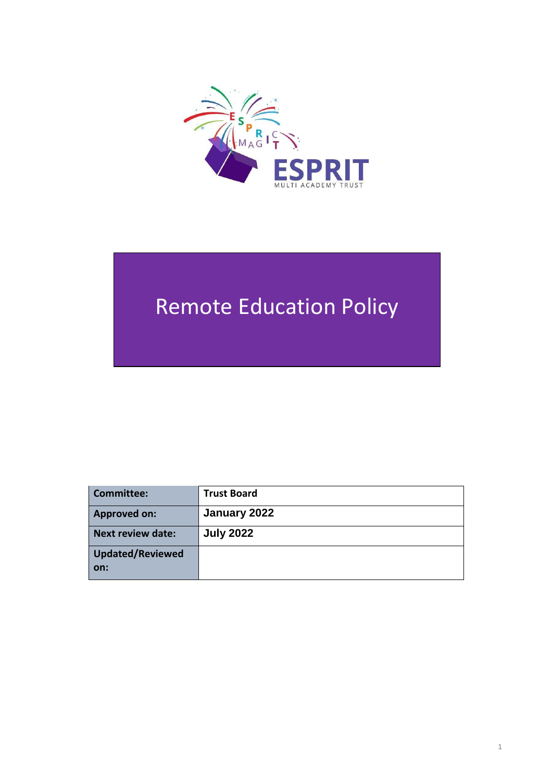

# Remote Education Policy

| Committee:              | <b>Trust Board</b> |
|-------------------------|--------------------|
| <b>Approved on:</b>     | January 2022       |
| Next review date:       | <b>July 2022</b>   |
| Updated/Reviewed<br>on: |                    |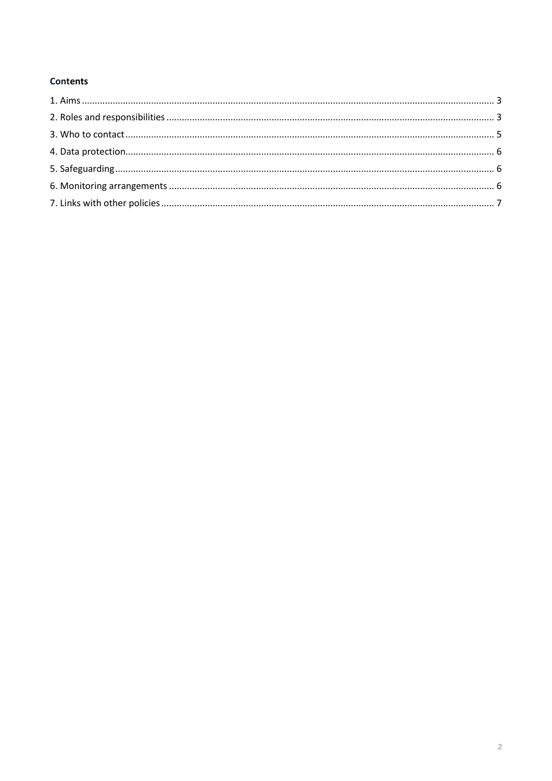# **Contents**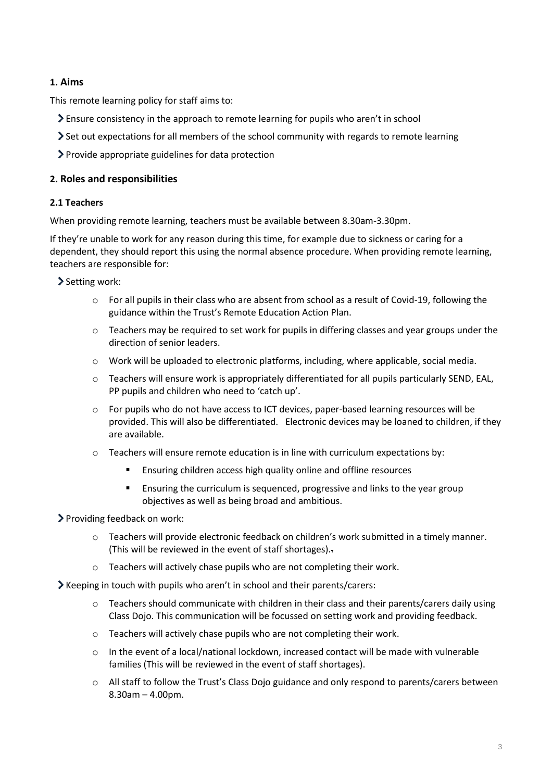# <span id="page-2-0"></span>**1. Aims**

This remote learning policy for staff aims to:

- Ensure consistency in the approach to remote learning for pupils who aren't in school
- Set out expectations for all members of the school community with regards to remote learning
- Provide appropriate guidelines for data protection

#### <span id="page-2-1"></span>**2. Roles and responsibilities**

#### **2.1 Teachers**

When providing remote learning, teachers must be available between 8.30am-3.30pm.

If they're unable to work for any reason during this time, for example due to sickness or caring for a dependent, they should report this using the normal absence procedure. When providing remote learning, teachers are responsible for:

Setting work:

- $\circ$  For all pupils in their class who are absent from school as a result of Covid-19, following the guidance within the Trust's Remote Education Action Plan.
- $\circ$  Teachers may be required to set work for pupils in differing classes and year groups under the direction of senior leaders.
- o Work will be uploaded to electronic platforms, including, where applicable, social media.
- o Teachers will ensure work is appropriately differentiated for all pupils particularly SEND, EAL, PP pupils and children who need to 'catch up'.
- o For pupils who do not have access to ICT devices, paper-based learning resources will be provided. This will also be differentiated. Electronic devices may be loaned to children, if they are available.
- $\circ$  Teachers will ensure remote education is in line with curriculum expectations by:
	- Ensuring children access high quality online and offline resources
	- **Ensuring the curriculum is sequenced, progressive and links to the year group** objectives as well as being broad and ambitious.

Providing feedback on work:

- o Teachers will provide electronic feedback on children's work submitted in a timely manner. (This will be reviewed in the event of staff shortages)..
- o Teachers will actively chase pupils who are not completing their work.

 $\blacktriangleright$  Keeping in touch with pupils who aren't in school and their parents/carers:

- o Teachers should communicate with children in their class and their parents/carers daily using Class Dojo. This communication will be focussed on setting work and providing feedback.
- o Teachers will actively chase pupils who are not completing their work.
- o In the event of a local/national lockdown, increased contact will be made with vulnerable families (This will be reviewed in the event of staff shortages).
- o All staff to follow the Trust's Class Dojo guidance and only respond to parents/carers between 8.30am – 4.00pm.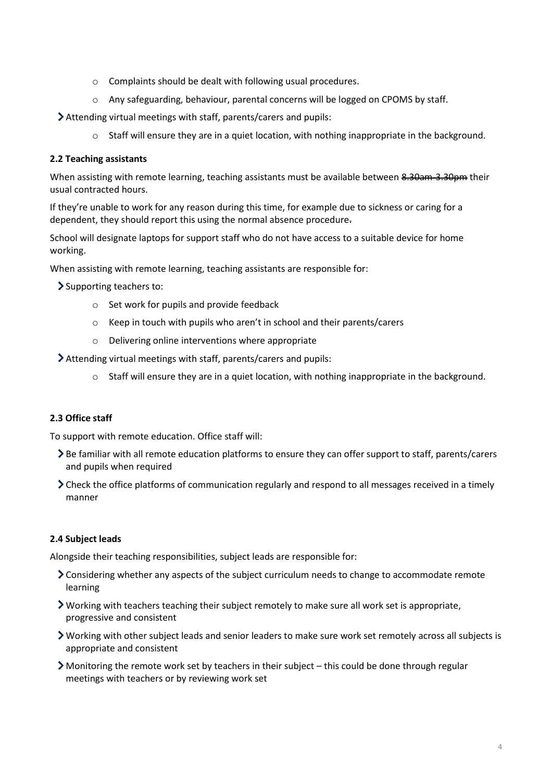- o Complaints should be dealt with following usual procedures.
- o Any safeguarding, behaviour, parental concerns will be logged on CPOMS by staff.

Attending virtual meetings with staff, parents/carers and pupils:

o Staff will ensure they are in a quiet location, with nothing inappropriate in the background.

#### **2.2 Teaching assistants**

When assisting with remote learning, teaching assistants must be available between 8.30am 3.30pm their usual contracted hours.

If they're unable to work for any reason during this time, for example due to sickness or caring for a dependent, they should report this using the normal absence procedure.

School will designate laptops for support staff who do not have access to a suitable device for home working.

When assisting with remote learning, teaching assistants are responsible for:

Supporting teachers to:

- o Set work for pupils and provide feedback
- o Keep in touch with pupils who aren't in school and their parents/carers
- o Delivering online interventions where appropriate

Attending virtual meetings with staff, parents/carers and pupils:

o Staff will ensure they are in a quiet location, with nothing inappropriate in the background.

# **2.3 Office staff**

To support with remote education. Office staff will:

- > Be familiar with all remote education platforms to ensure they can offer support to staff, parents/carers and pupils when required
- Check the office platforms of communication regularly and respond to all messages received in a timely manner

#### **2.4 Subject leads**

Alongside their teaching responsibilities, subject leads are responsible for:

- Considering whether any aspects of the subject curriculum needs to change to accommodate remote learning
- Working with teachers teaching their subject remotely to make sure all work set is appropriate, progressive and consistent
- Working with other subject leads and senior leaders to make sure work set remotely across all subjects is appropriate and consistent
- $\triangleright$  Monitoring the remote work set by teachers in their subject this could be done through regular meetings with teachers or by reviewing work set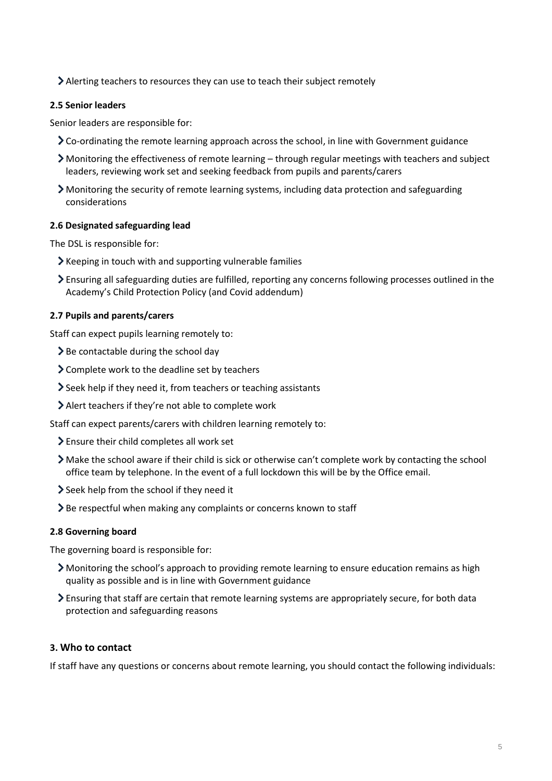Alerting teachers to resources they can use to teach their subject remotely

#### **2.5 Senior leaders**

Senior leaders are responsible for:

- Co-ordinating the remote learning approach across the school, in line with Government guidance
- Monitoring the effectiveness of remote learning through regular meetings with teachers and subject leaders, reviewing work set and seeking feedback from pupils and parents/carers
- Monitoring the security of remote learning systems, including data protection and safeguarding considerations

#### **2.6 Designated safeguarding lead**

The DSL is responsible for:

- $\blacktriangleright$  Keeping in touch with and supporting vulnerable families
- Ensuring all safeguarding duties are fulfilled, reporting any concerns following processes outlined in the Academy's Child Protection Policy (and Covid addendum)

#### **2.7 Pupils and parents/carers**

Staff can expect pupils learning remotely to:

- $\geq$  Be contactable during the school day
- $\geq$  Complete work to the deadline set by teachers
- Seek help if they need it, from teachers or teaching assistants
- Alert teachers if they're not able to complete work

Staff can expect parents/carers with children learning remotely to:

- Ensure their child completes all work set
- Make the school aware if their child is sick or otherwise can't complete work by contacting the school office team by telephone. In the event of a full lockdown this will be by the Office email.
- Seek help from the school if they need it
- > Be respectful when making any complaints or concerns known to staff

#### **2.8 Governing board**

The governing board is responsible for:

- Monitoring the school's approach to providing remote learning to ensure education remains as high quality as possible and is in line with Government guidance
- Ensuring that staff are certain that remote learning systems are appropriately secure, for both data protection and safeguarding reasons

# <span id="page-4-0"></span>**3. Who to contact**

If staff have any questions or concerns about remote learning, you should contact the following individuals: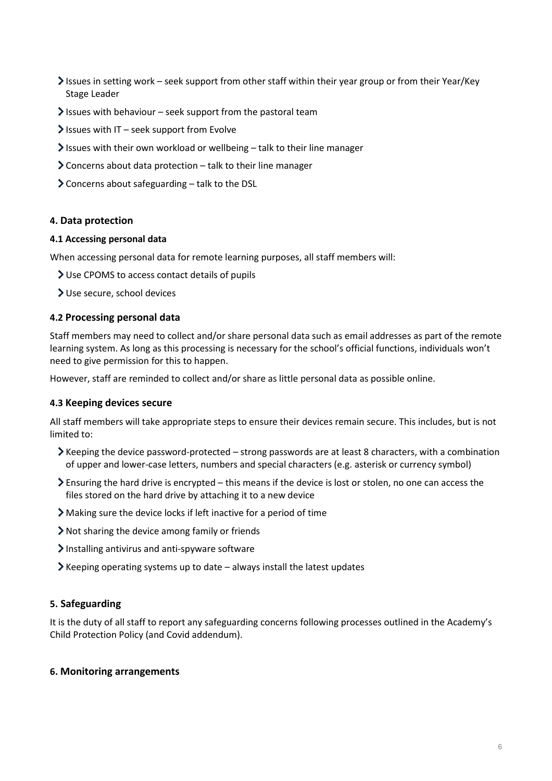- Issues in setting work seek support from other staff within their year group or from their Year/Key Stage Leader
- $\blacktriangleright$  Issues with behaviour seek support from the pastoral team
- $\blacktriangleright$  Issues with IT seek support from Evolve
- $\blacktriangleright$  Issues with their own workload or wellbeing talk to their line manager
- $\geq$  Concerns about data protection talk to their line manager
- $\geq$  Concerns about safeguarding talk to the DSL

# <span id="page-5-0"></span>**4. Data protection**

#### **4.1 Accessing personal data**

When accessing personal data for remote learning purposes, all staff members will:

- Use CPOMS to access contact details of pupils
- Use secure, school devices

#### **4.2 Processing personal data**

Staff members may need to collect and/or share personal data such as email addresses as part of the remote learning system. As long as this processing is necessary for the school's official functions, individuals won't need to give permission for this to happen.

However, staff are reminded to collect and/or share as little personal data as possible online.

#### **4.3 Keeping devices secure**

All staff members will take appropriate steps to ensure their devices remain secure. This includes, but is not limited to:

- Keeping the device password-protected strong passwords are at least 8 characters, with a combination of upper and lower-case letters, numbers and special characters (e.g. asterisk or currency symbol)
- Ensuring the hard drive is encrypted this means if the device is lost or stolen, no one can access the files stored on the hard drive by attaching it to a new device
- Making sure the device locks if left inactive for a period of time
- Not sharing the device among family or friends
- $\blacktriangleright$  Installing antivirus and anti-spyware software
- $\blacktriangleright$  Keeping operating systems up to date always install the latest updates

# <span id="page-5-1"></span>**5. Safeguarding**

It is the duty of all staff to report any safeguarding concerns following processes outlined in the Academy's Child Protection Policy (and Covid addendum).

#### <span id="page-5-2"></span>**6. Monitoring arrangements**